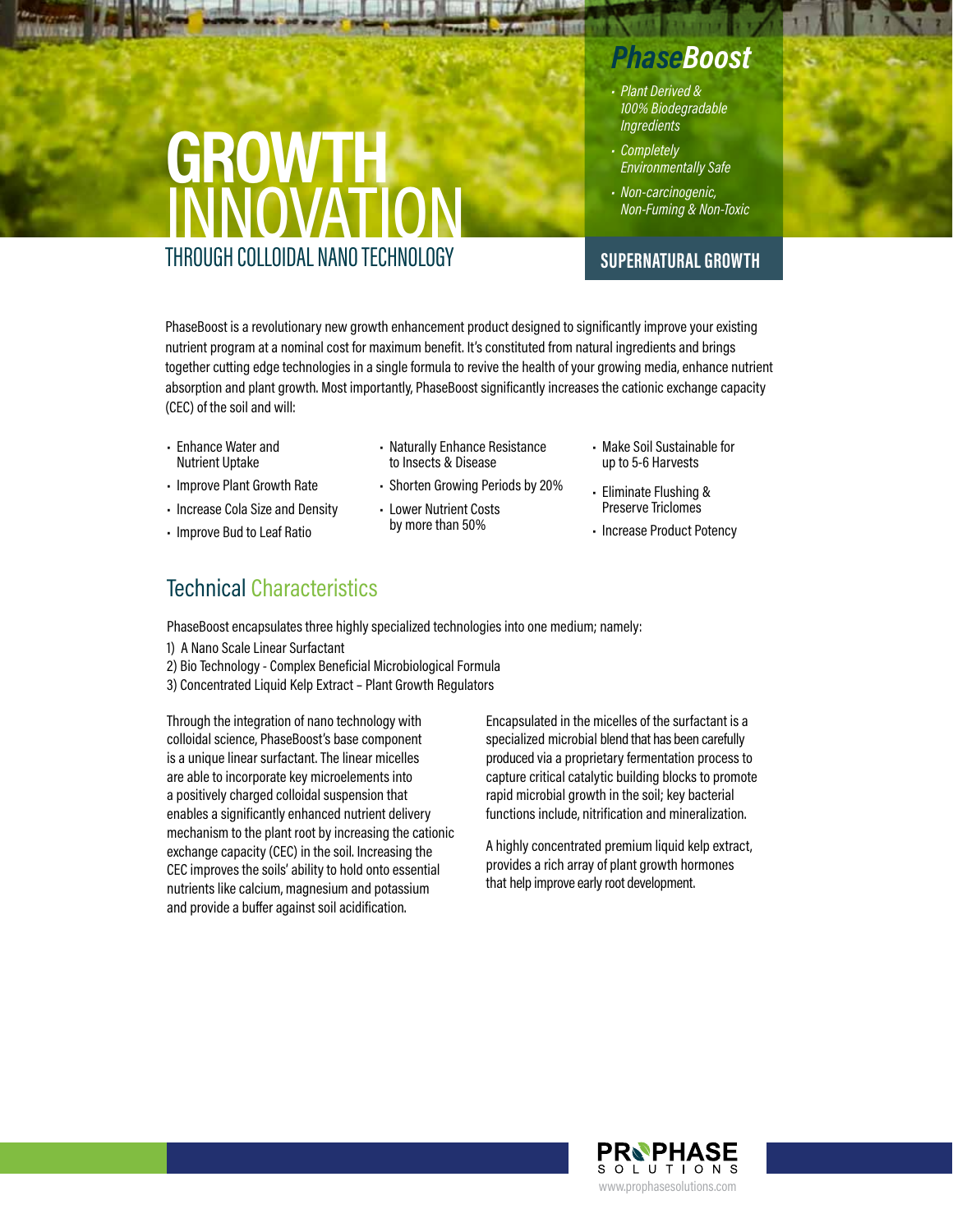## GROWTH **INNOVATION** THROUGH COLLOIDAL NANO TECHNOLOGY

## *PhaseBoost*

- *Plant Derived & 100% Biodegradable Ingredients*
- *Completely Environmentally Safe*
- *Non-carcinogenic, Non-Fuming & Non-Toxic*

## **SUPERNATURAL GROWTH**

PhaseBoost is a revolutionary new growth enhancement product designed to significantly improve your existing nutrient program at a nominal cost for maximum benefit. It's constituted from natural ingredients and brings together cutting edge technologies in a single formula to revive the health of your growing media, enhance nutrient absorption and plant growth. Most importantly, PhaseBoost significantly increases the cationic exchange capacity (CEC) of the soil and will:

- Enhance Water and Nutrient Uptake
- Improve Plant Growth Rate
- Increase Cola Size and Density
- Improve Bud to Leaf Ratio
- Technical Characteristics

PhaseBoost encapsulates three highly specialized technologies into one medium; namely:

- 1) A Nano Scale Linear Surfactant
- 2) Bio Technology Complex Beneficial Microbiological Formula
- 3) Concentrated Liquid Kelp Extract Plant Growth Regulators

Through the integration of nano technology with colloidal science, PhaseBoost's base component is a unique linear surfactant. The linear micelles are able to incorporate key microelements into a positively charged colloidal suspension that enables a significantly enhanced nutrient delivery mechanism to the plant root by increasing the cationic exchange capacity (CEC) in the soil. Increasing the CEC improves the soils' ability to hold onto essential nutrients like calcium, magnesium and potassium and provide a buffer against soil acidification.

Encapsulated in the micelles of the surfactant is a specialized microbial blend that has been carefully produced via a proprietary fermentation process to capture critical catalytic building blocks to promote rapid microbial growth in the soil; key bacterial functions include, nitrification and mineralization.

A highly concentrated premium liquid kelp extract, provides a rich array of plant growth hormones that help improve early root development.





• Naturally Enhance Resistance to Insects & Disease • Shorten Growing Periods by 20%

• Lower Nutrient Costs by more than 50%

- Make Soil Sustainable for up to 5-6 Harvests
- Eliminate Flushing & Preserve Triclomes
- Increase Product Potency